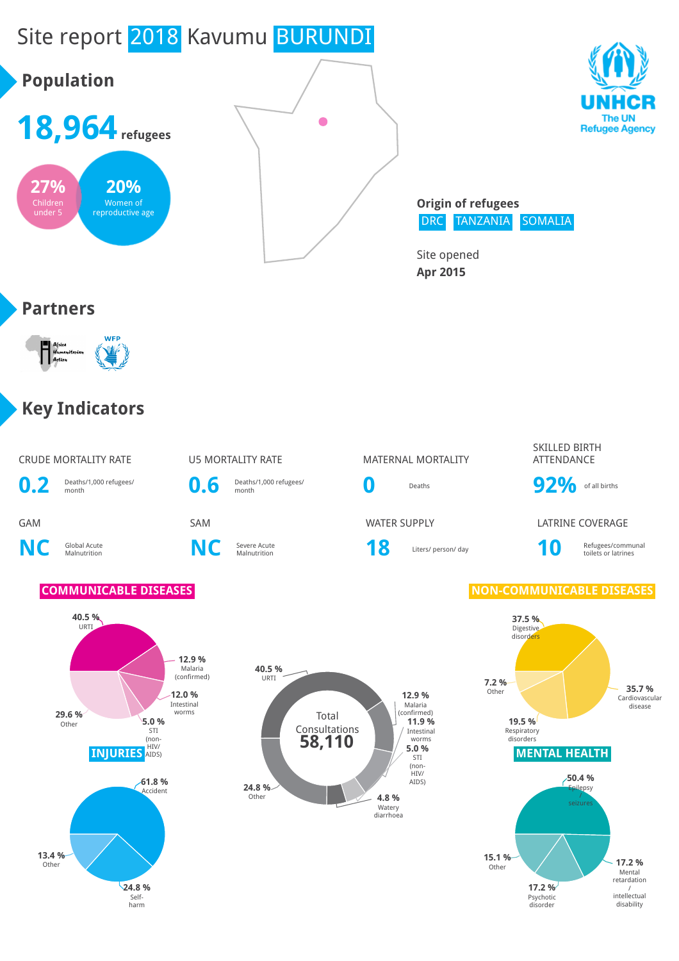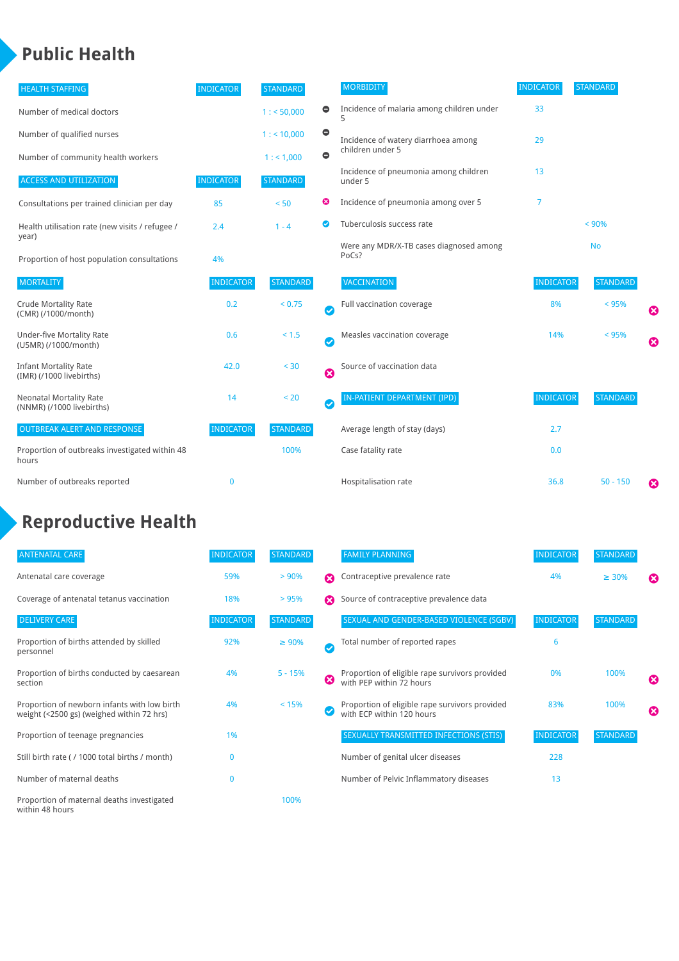## **Public Health**

| <b>HEALTH STAFFING</b>                                      | <b>INDICATOR</b> | <b>STANDARD</b> |           | <b>MORBIDITY</b>                                 | <b>INDICATOR</b> | <b>STANDARD</b> |   |
|-------------------------------------------------------------|------------------|-----------------|-----------|--------------------------------------------------|------------------|-----------------|---|
| Number of medical doctors                                   |                  | 1: 50,000       | $\bullet$ | Incidence of malaria among children under        | 33               |                 |   |
| Number of qualified nurses                                  |                  | 1:10,000        | $\bullet$ | Incidence of watery diarrhoea among              | 29               |                 |   |
| Number of community health workers                          |                  | 1: 1,000        | $\bullet$ | children under 5                                 |                  |                 |   |
| <b>ACCESS AND UTILIZATION</b>                               | <b>INDICATOR</b> | <b>STANDARD</b> |           | Incidence of pneumonia among children<br>under 5 | 13               |                 |   |
| Consultations per trained clinician per day                 | 85               | < 50            | ☺         | Incidence of pneumonia among over 5              | $\overline{7}$   |                 |   |
| Health utilisation rate (new visits / refugee /             | 2.4              | $1 - 4$         | ☑         | Tuberculosis success rate                        |                  | < 90%           |   |
| year)<br>Proportion of host population consultations        | 4%               |                 |           | Were any MDR/X-TB cases diagnosed among<br>PoCs? |                  | <b>No</b>       |   |
| <b>MORTALITY</b>                                            | <b>INDICATOR</b> | <b>STANDARD</b> |           | <b>VACCINATION</b>                               | <b>INDICATOR</b> | <b>STANDARD</b> |   |
| <b>Crude Mortality Rate</b><br>(CMR) (/1000/month)          | 0.2              | < 0.75          | Ø         | Full vaccination coverage                        | 8%               | < 95%           | Ø |
| <b>Under-five Mortality Rate</b><br>(U5MR) (/1000/month)    | 0.6              | < 1.5           | Ø         | Measles vaccination coverage                     | 14%              | < 95%           | Ø |
| <b>Infant Mortality Rate</b><br>(IMR) (/1000 livebirths)    | 42.0             | < 30            | Ø         | Source of vaccination data                       |                  |                 |   |
| <b>Neonatal Mortality Rate</b><br>(NNMR) (/1000 livebirths) | 14               | < 20            | $\bullet$ | IN-PATIENT DEPARTMENT (IPD)                      | <b>INDICATOR</b> | <b>STANDARD</b> |   |
| <b>OUTBREAK ALERT AND RESPONSE</b>                          | <b>INDICATOR</b> | <b>STANDARD</b> |           | Average length of stay (days)                    | 2.7              |                 |   |
| Proportion of outbreaks investigated within 48<br>hours     |                  | 100%            |           | Case fatality rate                               | 0.0              |                 |   |
| Number of outbreaks reported                                | $\mathbf 0$      |                 |           | Hospitalisation rate                             | 36.8             | $50 - 150$      | ೞ |

# **Reproductive Health**

| <b>ANTENATAL CARE</b>                                                                     | <b>INDICATOR</b> | STANDARD        |                       | <b>FAMILY PLANNING</b>                                                      | <b>INDICATOR</b> | <b>STANDARD</b> |                       |
|-------------------------------------------------------------------------------------------|------------------|-----------------|-----------------------|-----------------------------------------------------------------------------|------------------|-----------------|-----------------------|
| Antenatal care coverage                                                                   | 59%              | > 90%           | Ω                     | Contraceptive prevalence rate                                               | 4%               | $\geq 30\%$     | ⊠                     |
| Coverage of antenatal tetanus vaccination                                                 | 18%              | >95%            |                       | Source of contraceptive prevalence data                                     |                  |                 |                       |
| <b>DELIVERY CARE</b>                                                                      | <b>INDICATOR</b> | <b>STANDARD</b> |                       | SEXUAL AND GENDER-BASED VIOLENCE (SGBV)                                     | <b>INDICATOR</b> | <b>STANDARD</b> |                       |
| Proportion of births attended by skilled<br>personnel                                     | 92%              | $\geq 90\%$     | $\checkmark$          | Total number of reported rapes                                              | 6                |                 |                       |
| Proportion of births conducted by caesarean<br>section                                    | 4%               | $5 - 15%$       | $\boldsymbol{\Omega}$ | Proportion of eligible rape survivors provided<br>with PEP within 72 hours  | 0%               | 100%            | $\boldsymbol{\omega}$ |
| Proportion of newborn infants with low birth<br>weight (<2500 gs) (weighed within 72 hrs) | 4%               | < 15%           |                       | Proportion of eligible rape survivors provided<br>with ECP within 120 hours | 83%              | 100%            | $\boldsymbol{\Omega}$ |
| Proportion of teenage pregnancies                                                         | 1%               |                 |                       | SEXUALLY TRANSMITTED INFECTIONS (STIS)                                      | <b>INDICATOR</b> | <b>STANDARD</b> |                       |
| Still birth rate (/ 1000 total births / month)                                            | 0                |                 |                       | Number of genital ulcer diseases                                            | 228              |                 |                       |
| Number of maternal deaths                                                                 | $\mathbf{0}$     |                 |                       | Number of Pelvic Inflammatory diseases                                      | 13               |                 |                       |
| Proportion of maternal deaths investigated<br>within 48 hours                             |                  | 100%            |                       |                                                                             |                  |                 |                       |